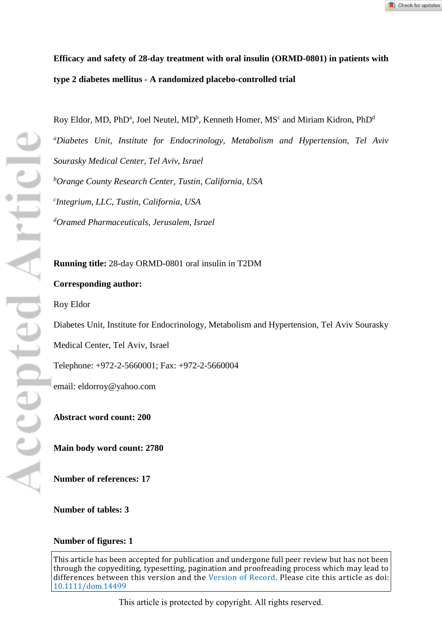

# **Efficacy and safety of 28-day treatment with oral insulin (ORMD-0801) in patients with type 2 diabetes mellitus - A randomized placebo-controlled trial**

Roy Eldor, MD, PhDª, Joel Neutel, MDʰ, Kenneth Homer, MS<code>c</code> and Miriam Kidron, <code>PhD</code><sup>d</sup>

*a Diabetes Unit, Institute for Endocrinology, Metabolism and Hypertension, Tel Aviv Sourasky Medical Center, Tel Aviv, Israel* 

*b Orange County Research Center, Tustin, California, USA* 

*c Integrium, LLC, Tustin, California, USA*

*d Oramed Pharmaceuticals, Jerusalem, Israel*

**Running title:** 28-day ORMD-0801 oral insulin in T2DM

## **Corresponding author:**

Roy Eldor

Diabetes Unit, Institute for Endocrinology, Metabolism and Hypertension, Tel Aviv Sourasky

Medical Center, Tel Aviv, Israel

Telephone: +972-2-5660001; Fax: +972-2-5660004

email: eldorroy@yahoo.com

**Abstract word count: 200**

**Main body word count: 2780** 

**Number of references: 17**

**Number of tables: 3**

## **Number of figures: 1**

This article has been accepted for publication and undergone full peer review but has not been through the copyediting, typesetting, pagination and proofreading process which may lead to differences between this version and the [Version of Record](http://dx.doi.org/10.1111/dom.14499). Please cite this article as doi: [10.1111/dom.14499](http://dx.doi.org/10.1111/dom.14499)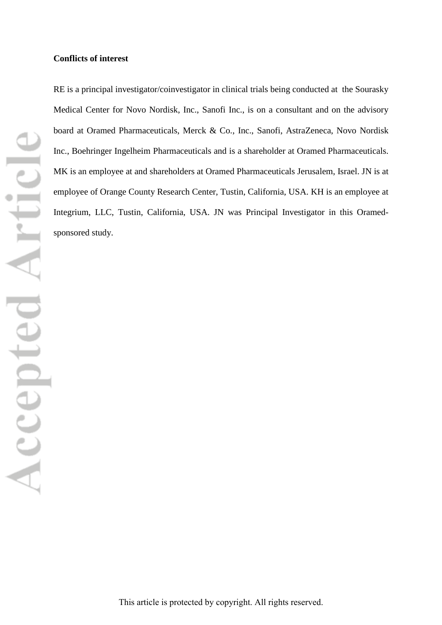#### **Conflicts of interest**

RE is a principal investigator/coinvestigator in clinical trials being conducted at the Sourasky Medical Center for Novo Nordisk, Inc., Sanofi Inc., is on a consultant and on the advisory board at Oramed Pharmaceuticals, Merck & Co., Inc., Sanofi, AstraZeneca, Novo Nordisk Inc., Boehringer Ingelheim Pharmaceuticals and is a shareholder at Oramed Pharmaceuticals. MK is an employee at and shareholders at Oramed Pharmaceuticals Jerusalem, Israel. JN is at employee of Orange County Research Center, Tustin, California, USA. KH is an employee at Integrium, LLC, Tustin, California, USA. JN was Principal Investigator in this Oramedsponsored study.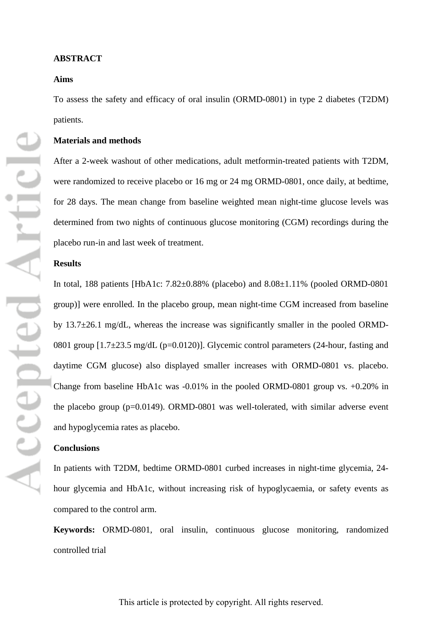## **Aims**

To assess the safety and efficacy of oral insulin (ORMD-0801) in type 2 diabetes (T2DM) patients.

## **Materials and methods**

After a 2-week washout of other medications, adult metformin-treated patients with T2DM, were randomized to receive placebo or 16 mg or 24 mg ORMD-0801, once daily, at bedtime, for 28 days. The mean change from baseline weighted mean night-time glucose levels was determined from two nights of continuous glucose monitoring (CGM) recordings during the placebo run-in and last week of treatment.

## **Results**

In total, 188 patients [HbA1c: 7.82±0.88% (placebo) and 8.08±1.11% (pooled ORMD-0801 group)] were enrolled. In the placebo group, mean night-time CGM increased from baseline by 13.7 $\pm$ 26.1 mg/dL, whereas the increase was significantly smaller in the pooled ORMD-0801 group  $[1.7\pm 23.5 \text{ mg/d}L \text{ (p=0.0120)}]$ . Glycemic control parameters (24-hour, fasting and daytime CGM glucose) also displayed smaller increases with ORMD-0801 vs. placebo. Change from baseline HbA1c was -0.01% in the pooled ORMD-0801 group vs. +0.20% in the placebo group (p=0.0149). ORMD-0801 was well-tolerated, with similar adverse event and hypoglycemia rates as placebo.

#### **Conclusions**

In patients with T2DM, bedtime ORMD-0801 curbed increases in night-time glycemia, 24 hour glycemia and HbA1c, without increasing risk of hypoglycaemia, or safety events as compared to the control arm.

**Keywords:** ORMD-0801, oral insulin, continuous glucose monitoring, randomized controlled trial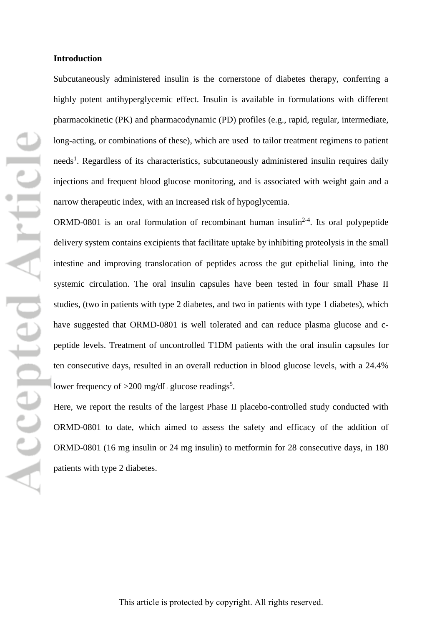#### **Introduction**

Subcutaneously administered insulin is the cornerstone of diabetes therapy, conferring a highly potent antihyperglycemic effect. Insulin is available in formulations with different pharmacokinetic (PK) and pharmacodynamic (PD) profiles (e.g., rapid, regular, intermediate, long-acting, or combinations of these), which are used to tailor treatment regimens to patient needs<sup>1</sup>. Regardless of its characteristics, subcutaneously administered insulin requires daily injections and frequent blood glucose monitoring, and is associated with weight gain and a narrow therapeutic index, with an increased risk of hypoglycemia.

ORMD-0801 is an oral formulation of recombinant human insulin<sup>2-4</sup>. Its oral polypeptide delivery system contains excipients that facilitate uptake by inhibiting proteolysis in the small intestine and improving translocation of peptides across the gut epithelial lining, into the systemic circulation. The oral insulin capsules have been tested in four small Phase II studies, (two in patients with type 2 diabetes, and two in patients with type 1 diabetes), which have suggested that ORMD-0801 is well tolerated and can reduce plasma glucose and cpeptide levels. Treatment of uncontrolled T1DM patients with the oral insulin capsules for ten consecutive days, resulted in an overall reduction in blood glucose levels, with a 24.4% lower frequency of  $>$ 200 mg/dL glucose readings<sup>5</sup>.

Here, we report the results of the largest Phase II placebo-controlled study conducted with ORMD-0801 to date, which aimed to assess the safety and efficacy of the addition of ORMD-0801 (16 mg insulin or 24 mg insulin) to metformin for 28 consecutive days, in 180 patients with type 2 diabetes.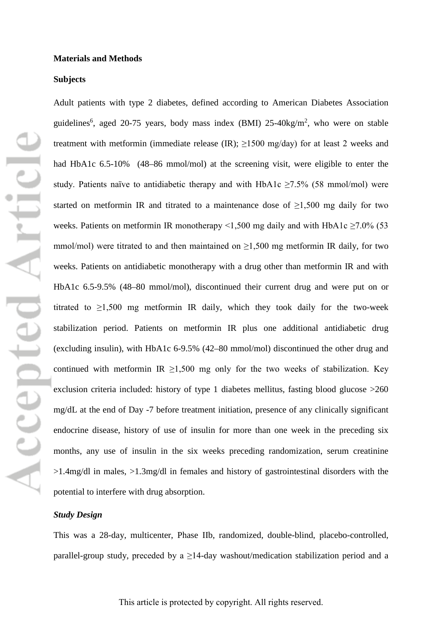#### **Subjects**

Adult patients with type 2 diabetes, defined according to American Diabetes Association guidelines<sup>6</sup>, aged 20-75 years, body mass index (BMI) 25-40kg/m<sup>2</sup>, who were on stable treatment with metformin (immediate release (IR);  $\geq$ 1500 mg/day) for at least 2 weeks and had HbA1c 6.5-10% (48–86 mmol/mol) at the screening visit, were eligible to enter the study. Patients naïve to antidiabetic therapy and with HbA1c  $\geq$ 7.5% (58 mmol/mol) were started on metformin IR and titrated to a maintenance dose of  $\geq 1,500$  mg daily for two weeks. Patients on metformin IR monotherapy <1,500 mg daily and with HbA1c  $\geq$ 7.0% (53 mmol/mol) were titrated to and then maintained on  $\geq 1,500$  mg metformin IR daily, for two weeks. Patients on antidiabetic monotherapy with a drug other than metformin IR and with HbA1c 6.5-9.5% (48–80 mmol/mol), discontinued their current drug and were put on or titrated to  $\geq 1,500$  mg metformin IR daily, which they took daily for the two-week stabilization period. Patients on metformin IR plus one additional antidiabetic drug (excluding insulin), with HbA1c 6-9.5% (42–80 mmol/mol) discontinued the other drug and continued with metformin IR  $\geq 1,500$  mg only for the two weeks of stabilization. Key exclusion criteria included: history of type 1 diabetes mellitus, fasting blood glucose  $>260$ mg/dL at the end of Day -7 before treatment initiation, presence of any clinically significant endocrine disease, history of use of insulin for more than one week in the preceding six months, any use of insulin in the six weeks preceding randomization, serum creatinine >1.4mg/dl in males, >1.3mg/dl in females and history of gastrointestinal disorders with the potential to interfere with drug absorption.

## *Study Design*

This was a 28-day, multicenter, Phase IIb, randomized, double-blind, placebo-controlled, parallel-group study, preceded by a  $\geq$ 14-day washout/medication stabilization period and a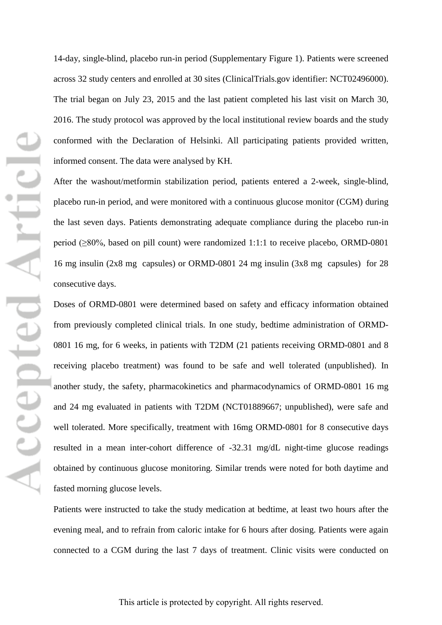14-day, single-blind, placebo run-in period (Supplementary Figure 1). Patients were screened across 32 study centers and enrolled at 30 sites (ClinicalTrials.gov identifier: NCT02496000). The trial began on July 23, 2015 and the last patient completed his last visit on March 30, 2016. The study protocol was approved by the local institutional review boards and the study conformed with the Declaration of Helsinki. All participating patients provided written, informed consent. The data were analysed by KH.

After the washout/metformin stabilization period, patients entered a 2-week, single-blind, placebo run-in period, and were monitored with a continuous glucose monitor (CGM) during the last seven days. Patients demonstrating adequate compliance during the placebo run-in period (≥80%, based on pill count) were randomized 1:1:1 to receive placebo, ORMD-0801 16 mg insulin (2x8 mg capsules) or ORMD-0801 24 mg insulin (3x8 mg capsules) for 28 consecutive days.

Doses of ORMD-0801 were determined based on safety and efficacy information obtained from previously completed clinical trials. In one study, bedtime administration of ORMD-0801 16 mg, for 6 weeks, in patients with T2DM (21 patients receiving ORMD-0801 and 8 receiving placebo treatment) was found to be safe and well tolerated (unpublished). In another study, the safety, pharmacokinetics and pharmacodynamics of ORMD-0801 16 mg and 24 mg evaluated in patients with T2DM (NCT01889667; unpublished), were safe and well tolerated. More specifically, treatment with 16mg ORMD-0801 for 8 consecutive days resulted in a mean inter-cohort difference of -32.31 mg/dL night-time glucose readings obtained by continuous glucose monitoring. Similar trends were noted for both daytime and fasted morning glucose levels.

Patients were instructed to take the study medication at bedtime, at least two hours after the evening meal, and to refrain from caloric intake for 6 hours after dosing. Patients were again connected to a CGM during the last 7 days of treatment. Clinic visits were conducted on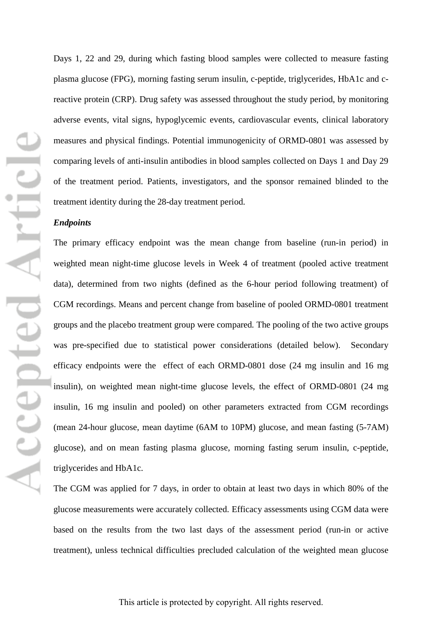Days 1, 22 and 29, during which fasting blood samples were collected to measure fasting plasma glucose (FPG), morning fasting serum insulin, c-peptide, triglycerides, HbA1c and creactive protein (CRP). Drug safety was assessed throughout the study period, by monitoring adverse events, vital signs, hypoglycemic events, cardiovascular events, clinical laboratory measures and physical findings. Potential immunogenicity of ORMD-0801 was assessed by comparing levels of anti-insulin antibodies in blood samples collected on Days 1 and Day 29 of the treatment period. Patients, investigators, and the sponsor remained blinded to the treatment identity during the 28-day treatment period.

#### *Endpoints*

The primary efficacy endpoint was the mean change from baseline (run-in period) in weighted mean night-time glucose levels in Week 4 of treatment (pooled active treatment data), determined from two nights (defined as the 6-hour period following treatment) of CGM recordings. Means and percent change from baseline of pooled ORMD-0801 treatment groups and the placebo treatment group were compared*.* The pooling of the two active groups was pre-specified due to statistical power considerations (detailed below). Secondary efficacy endpoints were the effect of each ORMD-0801 dose (24 mg insulin and 16 mg insulin), on weighted mean night-time glucose levels, the effect of ORMD-0801 (24 mg insulin, 16 mg insulin and pooled) on other parameters extracted from CGM recordings (mean 24-hour glucose, mean daytime (6AM to 10PM) glucose, and mean fasting (5-7AM) glucose), and on mean fasting plasma glucose, morning fasting serum insulin, c-peptide, triglycerides and HbA1c.

The CGM was applied for 7 days, in order to obtain at least two days in which 80% of the glucose measurements were accurately collected. Efficacy assessments using CGM data were based on the results from the two last days of the assessment period (run-in or active treatment), unless technical difficulties precluded calculation of the weighted mean glucose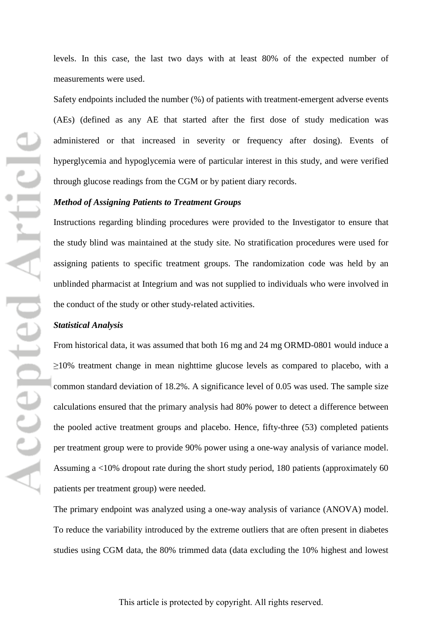levels. In this case, the last two days with at least 80% of the expected number of measurements were used.

Safety endpoints included the number (%) of patients with treatment-emergent adverse events (AEs) (defined as any AE that started after the first dose of study medication was administered or that increased in severity or frequency after dosing). Events of hyperglycemia and hypoglycemia were of particular interest in this study, and were verified through glucose readings from the CGM or by patient diary records.

## *Method of Assigning Patients to Treatment Groups*

Instructions regarding blinding procedures were provided to the Investigator to ensure that the study blind was maintained at the study site. No stratification procedures were used for assigning patients to specific treatment groups. The randomization code was held by an unblinded pharmacist at Integrium and was not supplied to individuals who were involved in the conduct of the study or other study-related activities.

#### *Statistical Analysis*

From historical data, it was assumed that both 16 mg and 24 mg ORMD-0801 would induce a  $\geq$ 10% treatment change in mean nighttime glucose levels as compared to placebo, with a common standard deviation of 18.2%. A significance level of 0.05 was used. The sample size calculations ensured that the primary analysis had 80% power to detect a difference between the pooled active treatment groups and placebo. Hence, fifty-three (53) completed patients per treatment group were to provide 90% power using a one-way analysis of variance model. Assuming a <10% dropout rate during the short study period, 180 patients (approximately 60 patients per treatment group) were needed.

The primary endpoint was analyzed using a one-way analysis of variance (ANOVA) model. To reduce the variability introduced by the extreme outliers that are often present in diabetes studies using CGM data, the 80% trimmed data (data excluding the 10% highest and lowest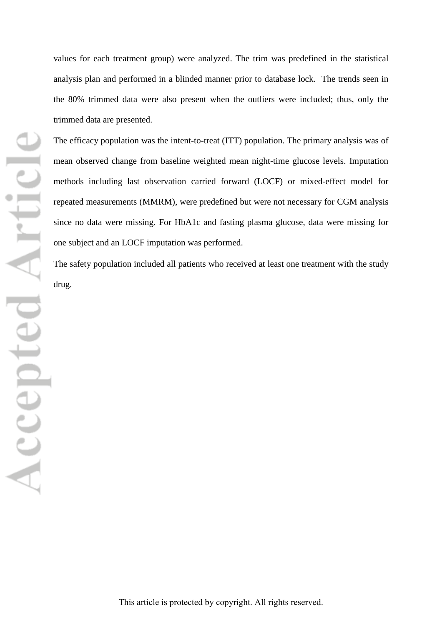values for each treatment group) were analyzed. The trim was predefined in the statistical analysis plan and performed in a blinded manner prior to database lock. The trends seen in the 80% trimmed data were also present when the outliers were included; thus, only the trimmed data are presented.

The efficacy population was the intent-to-treat (ITT) population. The primary analysis was of mean observed change from baseline weighted mean night-time glucose levels. Imputation methods including last observation carried forward (LOCF) or mixed-effect model for repeated measurements (MMRM), were predefined but were not necessary for CGM analysis since no data were missing. For HbA1c and fasting plasma glucose, data were missing for one subject and an LOCF imputation was performed.

The safety population included all patients who received at least one treatment with the study drug.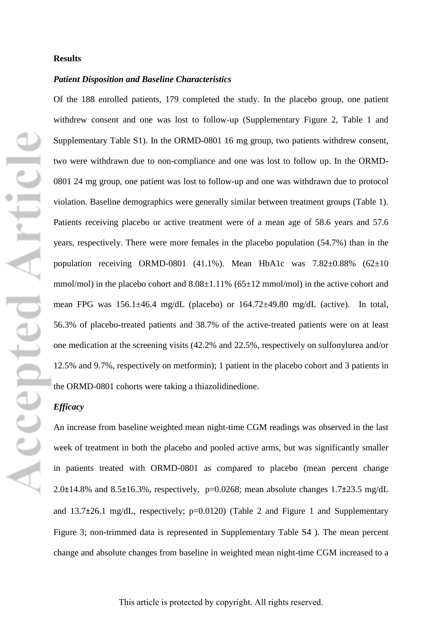#### **Results**

#### *Patient Disposition and Baseline Characteristics*

Of the 188 enrolled patients, 179 completed the study. In the placebo group, one patient withdrew consent and one was lost to follow-up (Supplementary Figure 2, Table 1 and Supplementary Table S1). In the ORMD-0801 16 mg group, two patients withdrew consent, two were withdrawn due to non-compliance and one was lost to follow up. In the ORMD-0801 24 mg group, one patient was lost to follow-up and one was withdrawn due to protocol violation. Baseline demographics were generally similar between treatment groups (Table 1). Patients receiving placebo or active treatment were of a mean age of 58.6 years and 57.6 years, respectively. There were more females in the placebo population (54.7%) than in the population receiving ORMD-0801 (41.1%). Mean HbA1c was  $7.82\pm0.88\%$  (62 $\pm10$ ) mmol/mol) in the placebo cohort and  $8.08\pm1.11\%$  (65 $\pm12$  mmol/mol) in the active cohort and mean FPG was 156.1±46.4 mg/dL (placebo) or 164.72±49.80 mg/dL (active). In total, 56.3% of placebo-treated patients and 38.7% of the active-treated patients were on at least one medication at the screening visits (42.2% and 22.5%, respectively on sulfonylurea and/or 12.5% and 9.7%, respectively on metformin); 1 patient in the placebo cohort and 3 patients in the ORMD-0801 cohorts were taking a thiazolidinedione.

## *Efficacy*

An increase from baseline weighted mean night-time CGM readings was observed in the last week of treatment in both the placebo and pooled active arms, but was significantly smaller in patients treated with ORMD-0801 as compared to placebo (mean percent change 2.0 $\pm$ 14.8% and 8.5 $\pm$ 16.3%, respectively, p=0.0268; mean absolute changes 1.7 $\pm$ 23.5 mg/dL and  $13.7\pm 26.1$  mg/dL, respectively;  $p=0.0120$ ) (Table 2 and Figure 1 and Supplementary Figure 3; non-trimmed data is represented in Supplementary Table S4 ). The mean percent change and absolute changes from baseline in weighted mean night-time CGM increased to a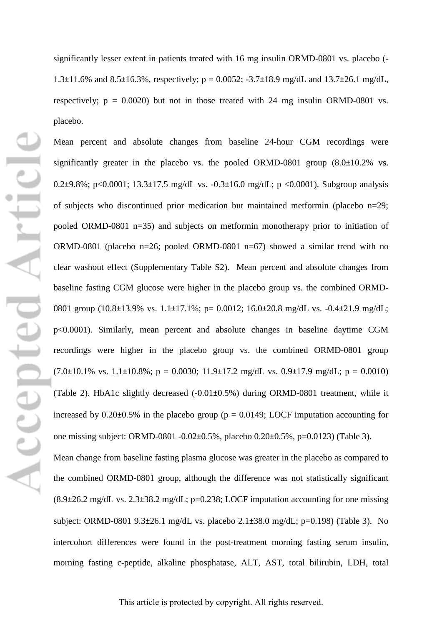significantly lesser extent in patients treated with 16 mg insulin ORMD-0801 vs. placebo (- 1.3 $\pm$ 11.6% and 8.5 $\pm$ 16.3%, respectively; p = 0.0052; -3.7 $\pm$ 18.9 mg/dL and 13.7 $\pm$ 26.1 mg/dL, respectively;  $p = 0.0020$ ) but not in those treated with 24 mg insulin ORMD-0801 vs. placebo.

Mean percent and absolute changes from baseline 24-hour CGM recordings were significantly greater in the placebo vs. the pooled ORMD-0801 group (8.0±10.2% vs. 0.2 $\pm$ 9.8%; p<0.0001; 13.3 $\pm$ 17.5 mg/dL vs. -0.3 $\pm$ 16.0 mg/dL; p <0.0001). Subgroup analysis of subjects who discontinued prior medication but maintained metformin (placebo  $n=29$ ; pooled ORMD-0801 n=35) and subjects on metformin monotherapy prior to initiation of ORMD-0801 (placebo n=26; pooled ORMD-0801 n=67) showed a similar trend with no clear washout effect (Supplementary Table S2). Mean percent and absolute changes from baseline fasting CGM glucose were higher in the placebo group vs. the combined ORMD-0801 group (10.8±13.9% vs. 1.1±17.1%; p= 0.0012; 16.0±20.8 mg/dL vs. -0.4±21.9 mg/dL; p<0.0001). Similarly, mean percent and absolute changes in baseline daytime CGM recordings were higher in the placebo group vs. the combined ORMD-0801 group  $(7.0\pm10.1\% \text{ vs. } 1.1\pm10.8\%; \text{ p} = 0.0030; 11.9\pm17.2 \text{ mg/dL vs. } 0.9\pm17.9 \text{ mg/dL}; \text{ p} = 0.0010)$ (Table 2). HbA1c slightly decreased (-0.01±0.5%) during ORMD-0801 treatment, while it increased by  $0.20\pm0.5\%$  in the placebo group ( $p = 0.0149$ ; LOCF imputation accounting for one missing subject: ORMD-0801 -0.02±0.5%, placebo 0.20±0.5%, p=0.0123) (Table 3). Mean change from baseline fasting plasma glucose was greater in the placebo as compared to

the combined ORMD-0801 group, although the difference was not statistically significant  $(8.9\pm 26.2 \text{ mg/dL vs. } 2.3\pm 38.2 \text{ mg/dL}; \text{p=0.238}; \text{LOCF}$  imputation accounting for one missing subject: ORMD-0801 9.3±26.1 mg/dL vs. placebo 2.1±38.0 mg/dL; p=0.198) (Table 3). No intercohort differences were found in the post-treatment morning fasting serum insulin, morning fasting c-peptide, alkaline phosphatase, ALT, AST, total bilirubin, LDH, total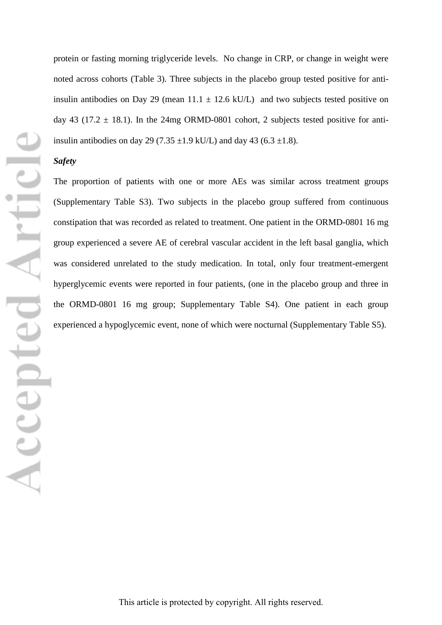protein or fasting morning triglyceride levels. No change in CRP, or change in weight were noted across cohorts (Table 3). Three subjects in the placebo group tested positive for antiinsulin antibodies on Day 29 (mean  $11.1 \pm 12.6$  kU/L) and two subjects tested positive on day 43 (17.2  $\pm$  18.1). In the 24mg ORMD-0801 cohort, 2 subjects tested positive for antiinsulin antibodies on day 29 (7.35  $\pm$ 1.9 kU/L) and day 43 (6.3  $\pm$ 1.8).

## *Safety*

The proportion of patients with one or more AEs was similar across treatment groups (Supplementary Table S3). Two subjects in the placebo group suffered from continuous constipation that was recorded as related to treatment. One patient in the ORMD-0801 16 mg group experienced a severe AE of cerebral vascular accident in the left basal ganglia, which was considered unrelated to the study medication. In total, only four treatment-emergent hyperglycemic events were reported in four patients, (one in the placebo group and three in the ORMD-0801 16 mg group; Supplementary Table S4). One patient in each group experienced a hypoglycemic event, none of which were nocturnal (Supplementary Table S5).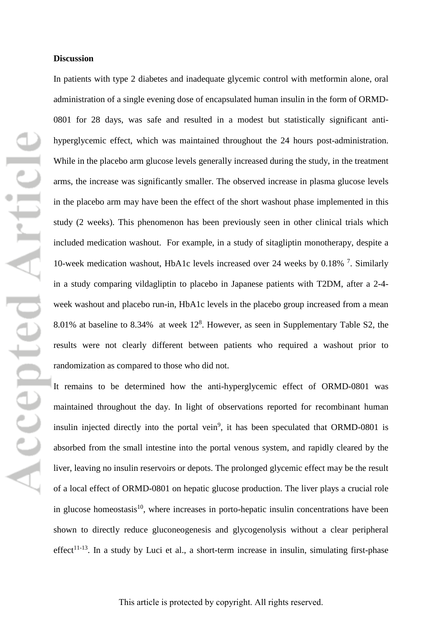#### **Discussion**

In patients with type 2 diabetes and inadequate glycemic control with metformin alone, oral administration of a single evening dose of encapsulated human insulin in the form of ORMD-0801 for 28 days, was safe and resulted in a modest but statistically significant antihyperglycemic effect, which was maintained throughout the 24 hours post-administration. While in the placebo arm glucose levels generally increased during the study, in the treatment arms, the increase was significantly smaller. The observed increase in plasma glucose levels in the placebo arm may have been the effect of the short washout phase implemented in this study (2 weeks). This phenomenon has been previously seen in other clinical trials which included medication washout. For example, in a study of sitagliptin monotherapy, despite a 10-week medication washout, HbA1c levels increased over 24 weeks by 0.18% <sup>7</sup>. Similarly in a study comparing vildagliptin to placebo in Japanese patients with T2DM, after a 2-4 week washout and placebo run-in, HbA1c levels in the placebo group increased from a mean 8.01% at baseline to 8.34% at week  $12<sup>8</sup>$ . However, as seen in Supplementary Table S2, the results were not clearly different between patients who required a washout prior to randomization as compared to those who did not.

It remains to be determined how the anti-hyperglycemic effect of ORMD-0801 was maintained throughout the day. In light of observations reported for recombinant human insulin injected directly into the portal vein<sup>9</sup>, it has been speculated that ORMD-0801 is absorbed from the small intestine into the portal venous system, and rapidly cleared by the liver, leaving no insulin reservoirs or depots. The prolonged glycemic effect may be the result of a local effect of ORMD-0801 on hepatic glucose production. The liver plays a crucial role in glucose homeostasis $10$ , where increases in porto-hepatic insulin concentrations have been shown to directly reduce gluconeogenesis and glycogenolysis without a clear peripheral effect<sup>11-13</sup>. In a study by Luci et al., a short-term increase in insulin, simulating first-phase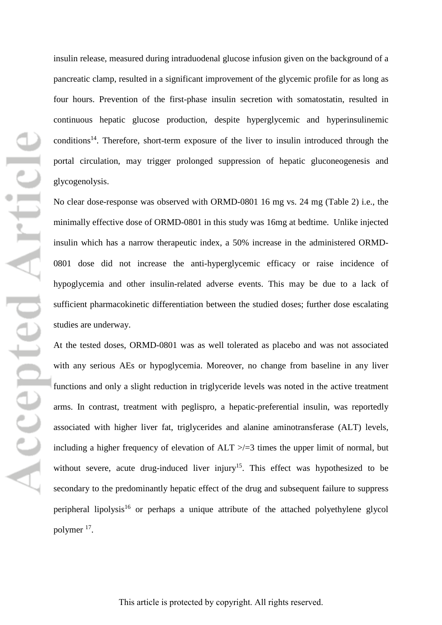insulin release, measured during intraduodenal glucose infusion given on the background of a pancreatic clamp, resulted in a significant improvement of the glycemic profile for as long as four hours. Prevention of the first-phase insulin secretion with somatostatin, resulted in continuous hepatic glucose production, despite hyperglycemic and hyperinsulinemic conditions<sup>14</sup>. Therefore, short-term exposure of the liver to insulin introduced through the portal circulation, may trigger prolonged suppression of hepatic gluconeogenesis and glycogenolysis.

No clear dose-response was observed with ORMD-0801 16 mg vs. 24 mg (Table 2) i.e., the minimally effective dose of ORMD-0801 in this study was 16mg at bedtime. Unlike injected insulin which has a narrow therapeutic index, a 50% increase in the administered ORMD-0801 dose did not increase the anti-hyperglycemic efficacy or raise incidence of hypoglycemia and other insulin-related adverse events. This may be due to a lack of sufficient pharmacokinetic differentiation between the studied doses; further dose escalating studies are underway.

At the tested doses, ORMD-0801 was as well tolerated as placebo and was not associated with any serious AEs or hypoglycemia. Moreover, no change from baseline in any liver functions and only a slight reduction in triglyceride levels was noted in the active treatment arms. In contrast, treatment with peglispro, a hepatic-preferential insulin, was reportedly associated with higher liver fat, triglycerides and alanine aminotransferase (ALT) levels, including a higher frequency of elevation of  $ALT \ge 3$  times the upper limit of normal, but without severe, acute drug-induced liver injury<sup>15</sup>. This effect was hypothesized to be secondary to the predominantly hepatic effect of the drug and subsequent failure to suppress peripheral lipolysis<sup>16</sup> or perhaps a unique attribute of the attached polyethylene glycol polymer 17.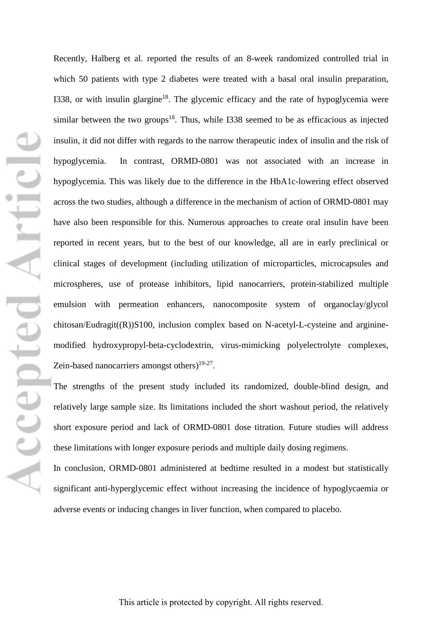Recently, Halberg et al. reported the results of an 8-week randomized controlled trial in which 50 patients with type 2 diabetes were treated with a basal oral insulin preparation, I338, or with insulin glargine<sup>18</sup>. The glycemic efficacy and the rate of hypoglycemia were similar between the two groups<sup>18</sup>. Thus, while I338 seemed to be as efficacious as injected insulin, it did not differ with regards to the narrow therapeutic index of insulin and the risk of hypoglycemia. In contrast, ORMD-0801 was not associated with an increase in hypoglycemia. This was likely due to the difference in the HbA1c-lowering effect observed across the two studies, although a difference in the mechanism of action of ORMD-0801 may have also been responsible for this. Numerous approaches to create oral insulin have been reported in recent years, but to the best of our knowledge, all are in early preclinical or clinical stages of development (including utilization of microparticles, microcapsules and microspheres, use of protease inhibitors, lipid nanocarriers, protein-stabilized multiple emulsion with permeation enhancers, nanocomposite system of organoclay/glycol chitosan/Eudragit((R))S100, inclusion complex based on N-acetyl-L-cysteine and argininemodified hydroxypropyl-beta-cyclodextrin, virus-mimicking polyelectrolyte complexes, Zein-based nanocarriers amongst others) $19-27$ .

The strengths of the present study included its randomized, double-blind design, and relatively large sample size. Its limitations included the short washout period, the relatively short exposure period and lack of ORMD-0801 dose titration. Future studies will address these limitations with longer exposure periods and multiple daily dosing regimens.

In conclusion, ORMD-0801 administered at bedtime resulted in a modest but statistically significant anti-hyperglycemic effect without increasing the incidence of hypoglycaemia or adverse events or inducing changes in liver function, when compared to placebo.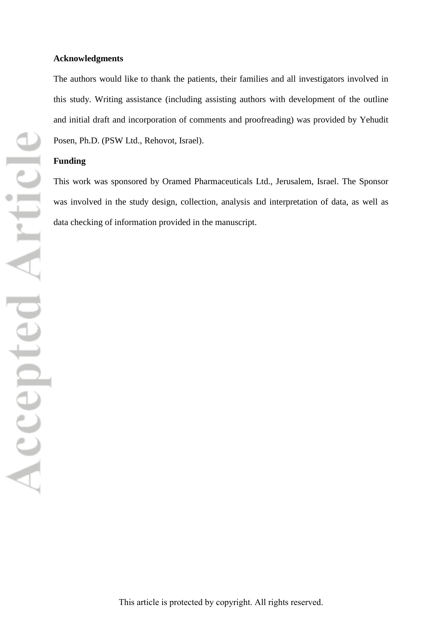#### **Acknowledgments**

The authors would like to thank the patients, their families and all investigators involved in this study. Writing assistance (including assisting authors with development of the outline and initial draft and incorporation of comments and proofreading) was provided by Yehudit Posen, Ph.D. (PSW Ltd., Rehovot, Israel).

## **Funding**

This work was sponsored by Oramed Pharmaceuticals Ltd., Jerusalem, Israel. The Sponsor was involved in the study design, collection, analysis and interpretation of data, as well as data checking of information provided in the manuscript.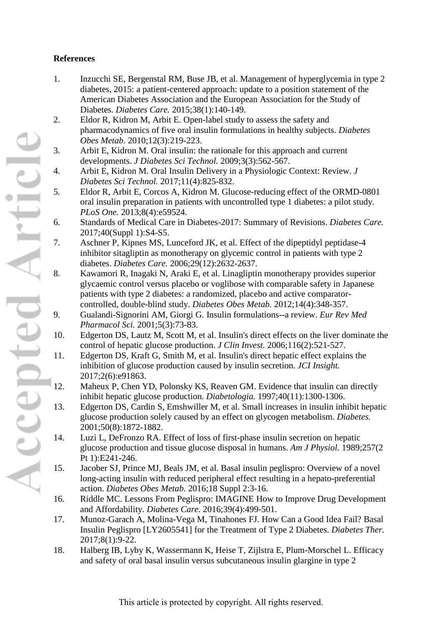# **References**

- 1. Inzucchi SE, Bergenstal RM, Buse JB, et al. Management of hyperglycemia in type 2 diabetes, 2015: a patient-centered approach: update to a position statement of the American Diabetes Association and the European Association for the Study of Diabetes. *Diabetes Care.* 2015;38(1):140-149.
- 2. Eldor R, Kidron M, Arbit E. Open-label study to assess the safety and pharmacodynamics of five oral insulin formulations in healthy subjects. *Diabetes Obes Metab.* 2010;12(3):219-223.
- 3. Arbit E, Kidron M. Oral insulin: the rationale for this approach and current developments. *J Diabetes Sci Technol.* 2009;3(3):562-567.
- 4. Arbit E, Kidron M. Oral Insulin Delivery in a Physiologic Context: Review. *J Diabetes Sci Technol.* 2017;11(4):825-832.
- 5. Eldor R, Arbit E, Corcos A, Kidron M. Glucose-reducing effect of the ORMD-0801 oral insulin preparation in patients with uncontrolled type 1 diabetes: a pilot study. *PLoS One.* 2013;8(4):e59524.
- 6. Standards of Medical Care in Diabetes-2017: Summary of Revisions. *Diabetes Care.*  2017;40(Suppl 1):S4-S5.
- 7. Aschner P, Kipnes MS, Lunceford JK, et al. Effect of the dipeptidyl peptidase-4 inhibitor sitagliptin as monotherapy on glycemic control in patients with type 2 diabetes. *Diabetes Care.* 2006;29(12):2632-2637.
- 8. Kawamori R, Inagaki N, Araki E, et al. Linagliptin monotherapy provides superior glycaemic control versus placebo or voglibose with comparable safety in Japanese patients with type 2 diabetes: a randomized, placebo and active comparatorcontrolled, double-blind study. *Diabetes Obes Metab.* 2012;14(4):348-357.
- 9. Gualandi-Signorini AM, Giorgi G. Insulin formulations--a review. *Eur Rev Med Pharmacol Sci.* 2001;5(3):73-83.
- 10. Edgerton DS, Lautz M, Scott M, et al. Insulin's direct effects on the liver dominate the control of hepatic glucose production. *J Clin Invest.* 2006;116(2):521-527.
- 11. Edgerton DS, Kraft G, Smith M, et al. Insulin's direct hepatic effect explains the inhibition of glucose production caused by insulin secretion. *JCI Insight.*  2017;2(6):e91863.
- 12. Maheux P, Chen YD, Polonsky KS, Reaven GM. Evidence that insulin can directly inhibit hepatic glucose production. *Diabetologia.* 1997;40(11):1300-1306.
- 13. Edgerton DS, Cardin S, Emshwiller M, et al. Small increases in insulin inhibit hepatic glucose production solely caused by an effect on glycogen metabolism. *Diabetes.*  2001;50(8):1872-1882.
- 14. Luzi L, DeFronzo RA. Effect of loss of first-phase insulin secretion on hepatic glucose production and tissue glucose disposal in humans. *Am J Physiol.* 1989;257(2 Pt 1):E241-246.
- 15. Jacober SJ, Prince MJ, Beals JM, et al. Basal insulin peglispro: Overview of a novel long-acting insulin with reduced peripheral effect resulting in a hepato-preferential action. *Diabetes Obes Metab.* 2016;18 Suppl 2:3-16.
- 16. Riddle MC. Lessons From Peglispro: IMAGINE How to Improve Drug Development and Affordability. *Diabetes Care.* 2016;39(4):499-501.
- 17. Munoz-Garach A, Molina-Vega M, Tinahones FJ. How Can a Good Idea Fail? Basal Insulin Peglispro [LY2605541] for the Treatment of Type 2 Diabetes. *Diabetes Ther.*  2017;8(1):9-22.
- 18. Halberg IB, Lyby K, Wassermann K, Heise T, Zijlstra E, Plum-Morschel L. Efficacy and safety of oral basal insulin versus subcutaneous insulin glargine in type 2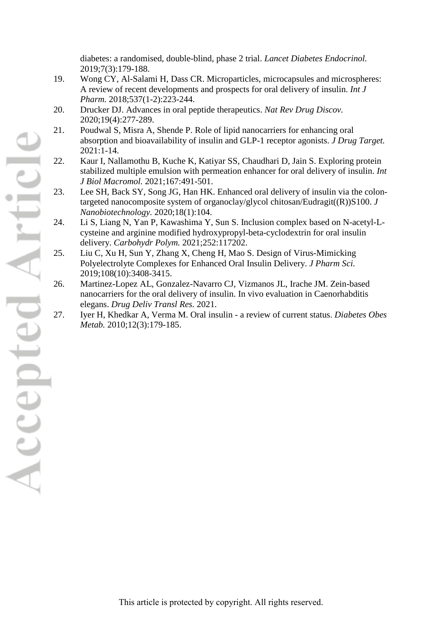diabetes: a randomised, double-blind, phase 2 trial. *Lancet Diabetes Endocrinol.*  2019;7(3):179-188.

- 19. Wong CY, Al-Salami H, Dass CR. Microparticles, microcapsules and microspheres: A review of recent developments and prospects for oral delivery of insulin. *Int J Pharm.* 2018;537(1-2):223-244.
- 20. Drucker DJ. Advances in oral peptide therapeutics. *Nat Rev Drug Discov.*  2020;19(4):277-289.
- 21. Poudwal S, Misra A, Shende P. Role of lipid nanocarriers for enhancing oral absorption and bioavailability of insulin and GLP-1 receptor agonists. *J Drug Target.*  2021:1-14.
- 22. Kaur I, Nallamothu B, Kuche K, Katiyar SS, Chaudhari D, Jain S. Exploring protein stabilized multiple emulsion with permeation enhancer for oral delivery of insulin. *Int J Biol Macromol.* 2021;167:491-501.
- 23. Lee SH, Back SY, Song JG, Han HK. Enhanced oral delivery of insulin via the colontargeted nanocomposite system of organoclay/glycol chitosan/Eudragit((R))S100. *J Nanobiotechnology.* 2020;18(1):104.
- 24. Li S, Liang N, Yan P, Kawashima Y, Sun S. Inclusion complex based on N-acetyl-Lcysteine and arginine modified hydroxypropyl-beta-cyclodextrin for oral insulin delivery. *Carbohydr Polym.* 2021;252:117202.
- 25. Liu C, Xu H, Sun Y, Zhang X, Cheng H, Mao S. Design of Virus-Mimicking Polyelectrolyte Complexes for Enhanced Oral Insulin Delivery. *J Pharm Sci.*  2019;108(10):3408-3415.
- 26. Martinez-Lopez AL, Gonzalez-Navarro CJ, Vizmanos JL, Irache JM. Zein-based nanocarriers for the oral delivery of insulin. In vivo evaluation in Caenorhabditis elegans. *Drug Deliv Transl Res.* 2021.
- 27. Iyer H, Khedkar A, Verma M. Oral insulin a review of current status. *Diabetes Obes Metab.* 2010;12(3):179-185.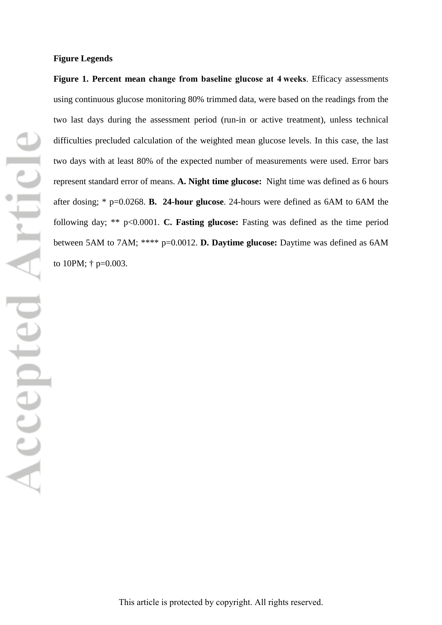#### **Figure Legends**

**Figure 1. Percent mean change from baseline glucose at 4 weeks**. Efficacy assessments using continuous glucose monitoring 80% trimmed data, were based on the readings from the two last days during the assessment period (run-in or active treatment), unless technical difficulties precluded calculation of the weighted mean glucose levels. In this case, the last two days with at least 80% of the expected number of measurements were used. Error bars represent standard error of means. **A. Night time glucose:** Night time was defined as 6 hours after dosing; \* p=0.0268. **B. 24-hour glucose**. 24-hours were defined as 6AM to 6AM the following day; \*\* p<0.0001. **C. Fasting glucose:** Fasting was defined as the time period between 5AM to 7AM; \*\*\*\* p=0.0012. **D. Daytime glucose:** Daytime was defined as 6AM to 10PM; † p=0.003.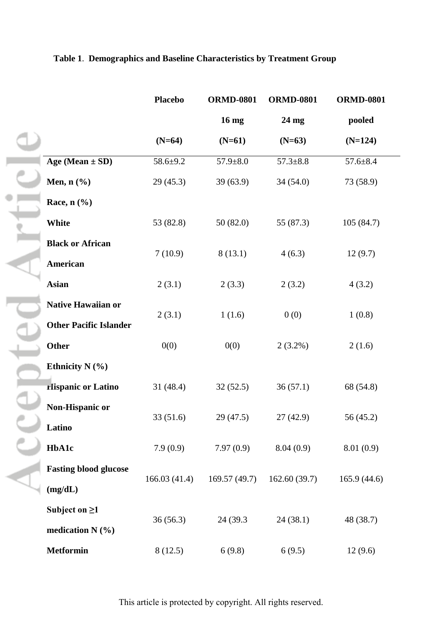# **Table 1**. **Demographics and Baseline Characteristics by Treatment Group**

|                                                            | <b>Placebo</b> | <b>ORMD-0801</b> | <b>ORMD-0801</b> | <b>ORMD-0801</b> |
|------------------------------------------------------------|----------------|------------------|------------------|------------------|
|                                                            |                | 16 mg            | 24 mg            | pooled           |
|                                                            | $(N=64)$       | $(N=61)$         | $(N=63)$         | $(N=124)$        |
| Age (Mean $\pm$ SD)                                        | $58.6 + 9.2$   | $57.9 \pm 8.0$   | $57.3 \pm 8.8$   | $57.6 \pm 8.4$   |
| Men, $n$ $(\%)$                                            | 29(45.3)       | 39(63.9)         | 34(54.0)         | 73 (58.9)        |
| Race, $n$ $(\%)$                                           |                |                  |                  |                  |
| White                                                      | 53 (82.8)      | 50(82.0)         | 55 (87.3)        | 105(84.7)        |
| <b>Black or African</b><br><b>American</b>                 | 7(10.9)        | 8(13.1)          | 4(6.3)           | 12(9.7)          |
| <b>Asian</b>                                               | 2(3.1)         | 2(3.3)           | 2(3.2)           | 4(3.2)           |
| <b>Native Hawaiian or</b><br><b>Other Pacific Islander</b> | 2(3.1)         | 1(1.6)           | 0(0)             | 1(0.8)           |
| Other                                                      | 0(0)           | 0(0)             | $2(3.2\%)$       | 2(1.6)           |
| Ethnicity $N$ (%)                                          |                |                  |                  |                  |
| <b>Hispanic or Latino</b>                                  | 31 (48.4)      | 32(52.5)         | 36(57.1)         | 68 (54.8)        |
| Non-Hispanic or<br>Latino                                  | 33(51.6)       | 29(47.5)         | 27(42.9)         | 56 (45.2)        |
| <b>HbA1c</b>                                               | 7.9(0.9)       | 7.97(0.9)        | 8.04(0.9)        | 8.01(0.9)        |
| <b>Fasting blood glucose</b><br>(mg/dL)                    | 166.03(41.4)   | 169.57 (49.7)    | 162.60(39.7)     | 165.9(44.6)      |
| Subject on $\geq 1$<br>medication $N$ (%)                  | 36(56.3)       | 24 (39.3)        | 24(38.1)         | 48 (38.7)        |
| <b>Metformin</b>                                           | 8(12.5)        | 6(9.8)           | 6(9.5)           | 12(9.6)          |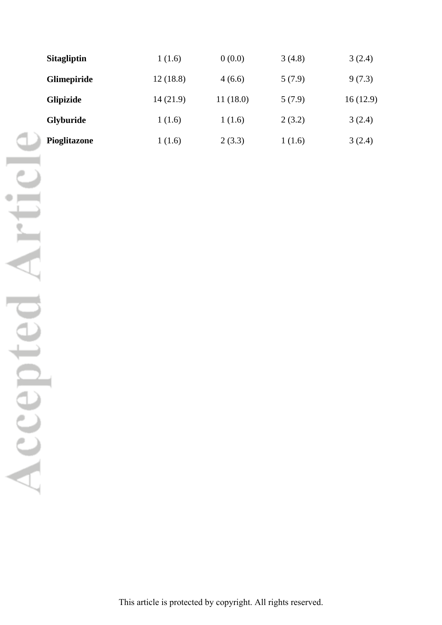| <b>Sitagliptin</b> | 1(1.6)   | 0(0.0)   | 3(4.8) | 3(2.4)   |
|--------------------|----------|----------|--------|----------|
| <b>Glimepiride</b> | 12(18.8) | 4(6.6)   | 5(7.9) | 9(7.3)   |
| Glipizide          | 14(21.9) | 11(18.0) | 5(7.9) | 16(12.9) |
| <b>Glyburide</b>   | 1(1.6)   | 1(1.6)   | 2(3.2) | 3(2.4)   |
| Pioglitazone       | 1(1.6)   | 2(3.3)   | 1(1.6) | 3(2.4)   |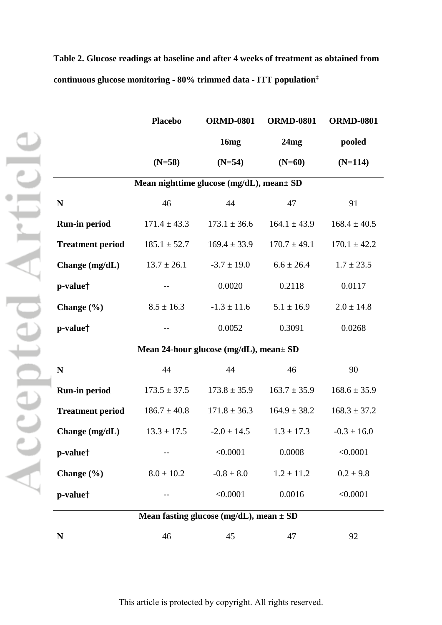|                         | <b>Placebo</b>                              | <b>ORMD-0801</b>                        | <b>ORMD-0801</b> | <b>ORMD-0801</b> |  |  |  |
|-------------------------|---------------------------------------------|-----------------------------------------|------------------|------------------|--|--|--|
|                         |                                             | 16 <sub>mg</sub>                        | 24mg             | pooled           |  |  |  |
|                         | $(N=58)$                                    | $(N=54)$                                | $(N=60)$         | $(N=114)$        |  |  |  |
|                         | Mean nighttime glucose (mg/dL), mean ± SD   |                                         |                  |                  |  |  |  |
| N                       | 46                                          | 44                                      | 47               | 91               |  |  |  |
| Run-in period           | $171.4 \pm 43.3$                            | $173.1 \pm 36.6$                        | $164.1 \pm 43.9$ | $168.4 \pm 40.5$ |  |  |  |
| <b>Treatment period</b> | $185.1 \pm 52.7$                            | $169.4 \pm 33.9$                        | $170.7 \pm 49.1$ | $170.1 \pm 42.2$ |  |  |  |
| Change (mg/dL)          | $13.7 \pm 26.1$                             | $-3.7 \pm 19.0$                         | $6.6 \pm 26.4$   | $1.7 \pm 23.5$   |  |  |  |
| p-value <sup>†</sup>    |                                             | 0.0020                                  | 0.2118           | 0.0117           |  |  |  |
| Change $(\% )$          | $8.5 \pm 16.3$                              | $-1.3 \pm 11.6$                         | $5.1 \pm 16.9$   | $2.0 \pm 14.8$   |  |  |  |
| p-value <sup>†</sup>    |                                             | 0.0052                                  | 0.3091           | 0.0268           |  |  |  |
|                         |                                             | Mean 24-hour glucose (mg/dL), mean ± SD |                  |                  |  |  |  |
| N                       | 44                                          | 44                                      | 46               | 90               |  |  |  |
| Run-in period           | $173.5 \pm 37.5$                            | $173.8 \pm 35.9$                        | $163.7 \pm 35.9$ | $168.6 \pm 35.9$ |  |  |  |
| <b>Treatment period</b> | $186.7 \pm 40.8$                            | $171.8 \pm 36.3$                        | $164.9 \pm 38.2$ | $168.3 \pm 37.2$ |  |  |  |
| Change $(mg/dL)$        | $13.3 \pm 17.5$                             | $-2.0 \pm 14.5$                         | $1.3 \pm 17.3$   | $-0.3 \pm 16.0$  |  |  |  |
| p-value <sup>†</sup>    |                                             | < 0.0001                                | 0.0008           | < 0.0001         |  |  |  |
| Change $(\% )$          | $8.0 \pm 10.2$                              | $-0.8 \pm 8.0$                          | $1.2 \pm 11.2$   | $0.2 \pm 9.8$    |  |  |  |
| p-value <sup>†</sup>    |                                             | < 0.0001                                | 0.0016           | < 0.0001         |  |  |  |
|                         | Mean fasting glucose (mg/dL), mean $\pm$ SD |                                         |                  |                  |  |  |  |

**Table 2. Glucose readings at baseline and after 4 weeks of treatment as obtained from continuous glucose monitoring - 80% trimmed data - ITT population**‡

**N** 46 45 47 92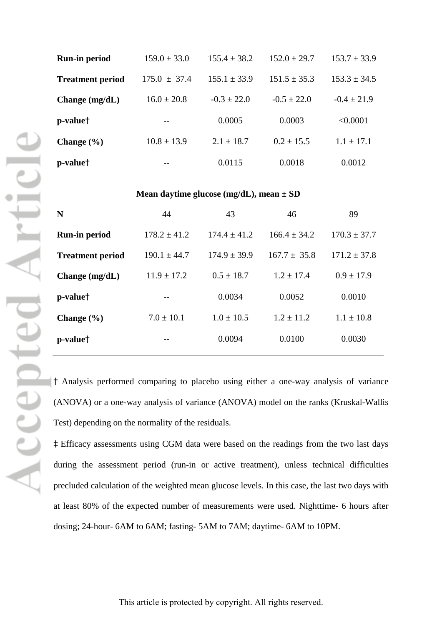| <b>Run-in period</b>    | $159.0 \pm 33.0$ | $155.4 \pm 38.2$ | $152.0 \pm 29.7$ | $153.7 \pm 33.9$ |
|-------------------------|------------------|------------------|------------------|------------------|
| <b>Treatment period</b> | $175.0 + 37.4$   | $155.1 \pm 33.9$ | $151.5 \pm 35.3$ | $153.3 \pm 34.5$ |
| Change $(mg/dL)$        | $16.0 \pm 20.8$  | $-0.3 \pm 22.0$  | $-0.5 \pm 22.0$  | $-0.4 \pm 21.9$  |
| p-value <sup>†</sup>    | --               | 0.0005           | 0.0003           | < 0.0001         |
| Change $(\% )$          | $10.8 \pm 13.9$  | $2.1 \pm 18.7$   | $0.2 + 15.5$     | $1.1 + 17.1$     |
| p-value <sup>†</sup>    | --               | 0.0115           | 0.0018           | 0.0012           |
|                         |                  |                  |                  |                  |

#### **Mean daytime glucose (mg/dL), mean ± SD**

| $170.3 \pm 37.7$ |
|------------------|
| $171.2 \pm 37.8$ |
| $0.9 \pm 17.9$   |
| 0.0010           |
| $1.1 \pm 10.8$   |
| 0.0030           |
|                  |

† Analysis performed comparing to placebo using either a one-way analysis of variance (ANOVA) or a one-way analysis of variance (ANOVA) model on the ranks (Kruskal-Wallis Test) depending on the normality of the residuals.

‡ Efficacy assessments using CGM data were based on the readings from the two last days during the assessment period (run-in or active treatment), unless technical difficulties precluded calculation of the weighted mean glucose levels. In this case, the last two days with at least 80% of the expected number of measurements were used. Nighttime- 6 hours after dosing; 24-hour- 6AM to 6AM; fasting- 5AM to 7AM; daytime- 6AM to 10PM.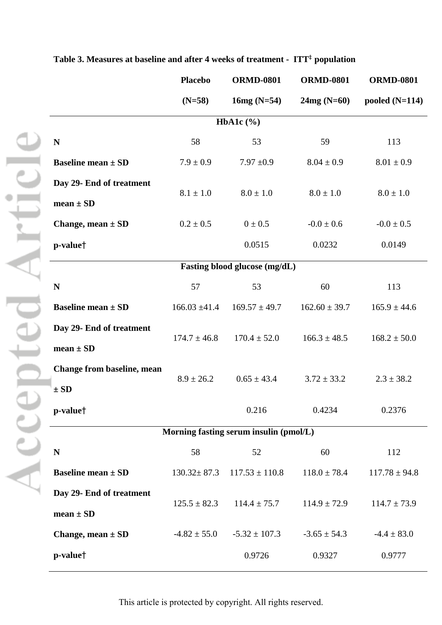|                                           | <b>Placebo</b>    | <b>ORMD-0801</b>                       | <b>ORMD-0801</b>  | <b>ORMD-0801</b>  |
|-------------------------------------------|-------------------|----------------------------------------|-------------------|-------------------|
|                                           | $(N=58)$          | $16mg (N=54)$                          | $24mg (N=60)$     | pooled $(N=114)$  |
|                                           |                   | HbA1c $(\% )$                          |                   |                   |
| ${\bf N}$                                 | 58                | 53                                     | 59                | 113               |
| <b>Baseline mean ± SD</b>                 | $7.9 \pm 0.9$     | $7.97 \pm 0.9$                         | $8.04 \pm 0.9$    | $8.01 \pm 0.9$    |
| Day 29- End of treatment                  | $8.1 \pm 1.0$     | $8.0 \pm 1.0$                          | $8.0 \pm 1.0$     | $8.0 \pm 1.0$     |
| $mean \pm SD$<br>Change, mean $\pm$ SD    | $0.2 \pm 0.5$     | $0 \pm 0.5$                            | $-0.0 \pm 0.6$    | $-0.0 \pm 0.5$    |
| p-value <sup>†</sup>                      |                   | 0.0515                                 | 0.0232            | 0.0149            |
|                                           |                   | Fasting blood glucose (mg/dL)          |                   |                   |
| N                                         | 57                | 53                                     | 60                | 113               |
| Baseline mean $\pm$ SD                    | $166.03 \pm 41.4$ | $169.57 \pm 49.7$                      | $162.60 \pm 39.7$ | $165.9 \pm 44.6$  |
| Day 29- End of treatment<br>$mean \pm SD$ | $174.7 \pm 46.8$  | $170.4 \pm 52.0$                       | $166.3 \pm 48.5$  | $168.2 \pm 50.0$  |
| Change from baseline, mean<br>$\pm SD$    | $8.9 \pm 26.2$    | $0.65 \pm 43.4$                        | $3.72 \pm 33.2$   | $2.3 \pm 38.2$    |
| p-value <sup>†</sup>                      |                   | 0.216                                  | 0.4234            | 0.2376            |
|                                           |                   | Morning fasting serum insulin (pmol/L) |                   |                   |
| $\mathbf N$                               | 58                | 52                                     | 60                | 112               |
| Baseline mean $\pm$ SD                    | $130.32 \pm 87.3$ | $117.53 \pm 110.8$                     | $118.0 \pm 78.4$  | $117.78 \pm 94.8$ |
| Day 29- End of treatment<br>$mean \pm SD$ | $125.5 \pm 82.3$  | $114.4 \pm 75.7$                       | $114.9 \pm 72.9$  | $114.7 \pm 73.9$  |
| Change, mean $\pm$ SD                     | $-4.82 \pm 55.0$  | $-5.32 \pm 107.3$                      | $-3.65 \pm 54.3$  | $-4.4 \pm 83.0$   |
| p-value <sup>†</sup>                      |                   | 0.9726                                 | 0.9327            | 0.9777            |

**Table 3. Measures at baseline and after 4 weeks of treatment - ITT**‡ **population**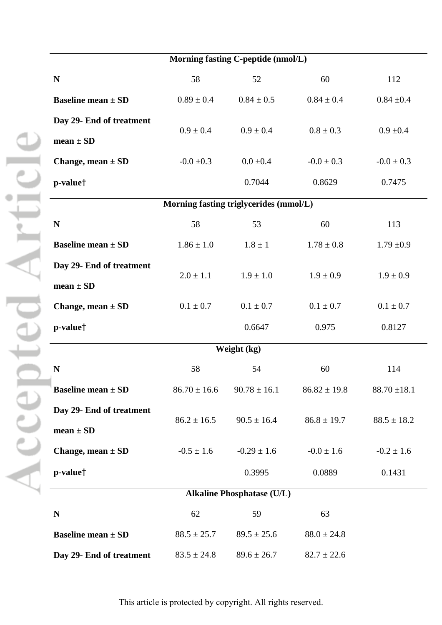| Morning fasting C-peptide (nmol/L)       |                                        |                  |                  |                  |  |  |
|------------------------------------------|----------------------------------------|------------------|------------------|------------------|--|--|
| N                                        | 58                                     | 52               | 60               | 112              |  |  |
| Baseline mean $\pm$ SD                   | $0.89 \pm 0.4$                         | $0.84 \pm 0.5$   | $0.84 \pm 0.4$   | $0.84 \pm 0.4$   |  |  |
| Day 29- End of treatment                 |                                        | $0.9 \pm 0.4$    | $0.8 \pm 0.3$    |                  |  |  |
| $mean \pm SD$                            | $0.9 \pm 0.4$                          |                  |                  | $0.9 \pm 0.4$    |  |  |
| Change, mean $\pm$ SD                    | $-0.0 \pm 0.3$                         | $0.0 \pm 0.4$    | $-0.0 \pm 0.3$   | $-0.0 \pm 0.3$   |  |  |
| p-value <sup>†</sup>                     |                                        | 0.7044           | 0.8629           | 0.7475           |  |  |
|                                          | Morning fasting triglycerides (mmol/L) |                  |                  |                  |  |  |
| N                                        | 58                                     | 53               | 60               | 113              |  |  |
| Baseline mean $\pm$ SD                   | $1.86 \pm 1.0$                         | $1.8 \pm 1$      | $1.78 \pm 0.8$   | $1.79 \pm 0.9$   |  |  |
| Day 29- End of treatment                 | $2.0 \pm 1.1$                          | $1.9 \pm 1.0$    | $1.9 \pm 0.9$    | $1.9 \pm 0.9$    |  |  |
| $mean \pm SD$                            |                                        |                  |                  |                  |  |  |
| Change, mean $\pm$ SD                    | $0.1 \pm 0.7$                          | $0.1 \pm 0.7$    | $0.1 \pm 0.7$    | $0.1 \pm 0.7$    |  |  |
| p-value <sup>†</sup>                     |                                        | 0.6647           | 0.975            | 0.8127           |  |  |
|                                          |                                        | Weight (kg)      |                  |                  |  |  |
| N                                        | 58                                     | 54               | 60               | 114              |  |  |
| Baseline mean $\pm$ SD                   | $86.70 \pm 16.6$                       | $90.78 \pm 16.1$ | $86.82 \pm 19.8$ | $88.70 \pm 18.1$ |  |  |
| Day 29- End of treatment                 |                                        |                  |                  |                  |  |  |
| $mean \pm SD$                            | $86.2 \pm 16.5$                        | $90.5 \pm 16.4$  | $86.8 \pm 19.7$  | $88.5 \pm 18.2$  |  |  |
| Change, mean $\pm$ SD                    | $-0.5 \pm 1.6$                         | $-0.29 \pm 1.6$  | $-0.0 \pm 1.6$   | $-0.2 \pm 1.6$   |  |  |
| p-value <sup>†</sup>                     |                                        | 0.3995           | 0.0889           | 0.1431           |  |  |
| <b>Alkaline Phosphatase (U/L)</b>        |                                        |                  |                  |                  |  |  |
| N                                        | 62                                     | 59               | 63               |                  |  |  |
| <b>Baseline mean <math>\pm</math> SD</b> | $88.5 \pm 25.7$                        | $89.5 \pm 25.6$  | $88.0 \pm 24.8$  |                  |  |  |
| Day 29- End of treatment                 | $83.5 \pm 24.8$                        | $89.6 \pm 26.7$  | $82.7 \pm 22.6$  |                  |  |  |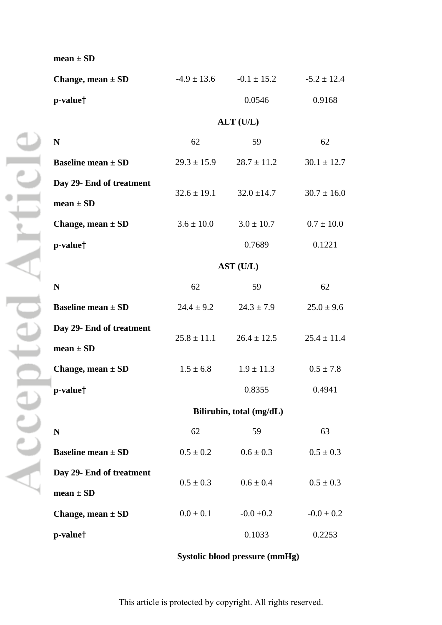| Change, mean $\pm$ SD    |
|--------------------------|
| p-value <sup>†</sup>     |
|                          |
| N                        |
| Baseline mean $\pm$ SD   |
| Day 29- End of treatment |
| $mean \pm SD$            |
| Change, mean $\pm$ SD    |
| p-value <sup>†</sup>     |
|                          |
| N                        |
| Baseline mean $\pm$ SD   |
| Day 29- End of treatment |
| $mean \pm SD$            |
| Change, mean $\pm$ SD    |
| p-value <sup>†</sup>     |
|                          |
| N                        |
| Baseline mean $\pm$ SD   |
| Day 29- End of treatment |
| $mean \pm SD$            |

**mean ± SD**

| Change, mean $\pm$ SD                     | $-4.9 \pm 13.6$ | $-0.1 \pm 15.2$          | $-5.2 \pm 12.4$ |  |
|-------------------------------------------|-----------------|--------------------------|-----------------|--|
| p-value†                                  |                 | 0.0546                   | 0.9168          |  |
|                                           |                 | ALT (U/L)                |                 |  |
| N                                         | 62              | 59                       | 62              |  |
| <b>Baseline mean ± SD</b>                 | $29.3 \pm 15.9$ | $28.7 \pm 11.2$          | $30.1 \pm 12.7$ |  |
| Day 29- End of treatment<br>mean $\pm$ SD | $32.6 \pm 19.1$ | $32.0 \pm 14.7$          | $30.7 \pm 16.0$ |  |
| Change, mean $\pm$ SD                     | $3.6 \pm 10.0$  | $3.0 \pm 10.7$           | $0.7 \pm 10.0$  |  |
| p-value†                                  |                 | 0.7689                   | 0.1221          |  |
|                                           |                 | AST (U/L)                |                 |  |
| N                                         | 62              | 59                       | 62              |  |
| <b>Baseline mean ± SD</b>                 | $24.4 \pm 9.2$  | $24.3 \pm 7.9$           | $25.0 \pm 9.6$  |  |
| Day 29- End of treatment<br>$mean \pm SD$ | $25.8 \pm 11.1$ | $26.4 \pm 12.5$          | $25.4 \pm 11.4$ |  |
| Change, mean $\pm$ SD                     | $1.5 \pm 6.8$   | $1.9 \pm 11.3$           | $0.5 \pm 7.8$   |  |
| p-value†                                  |                 | 0.8355                   | 0.4941          |  |
|                                           |                 | Bilirubin, total (mg/dL) |                 |  |
| N                                         | 62              | 59                       | 63              |  |
| <b>Baseline mean ± SD</b>                 | $0.5 \pm 0.2$   | $0.6 \pm 0.3$            | $0.5 \pm 0.3$   |  |
| Day 29- End of treatment<br>mean $\pm$ SD | $0.5 \pm 0.3$   | $0.6 \pm 0.4$            | $0.5\pm0.3$     |  |
| Change, mean $\pm$ SD                     | $0.0\pm0.1$     | $-0.0 \pm 0.2$           | $-0.0 \pm 0.2$  |  |
| p-value†                                  |                 | 0.1033                   | 0.2253          |  |
|                                           |                 |                          |                 |  |

**Systolic blood pressure (mmHg)**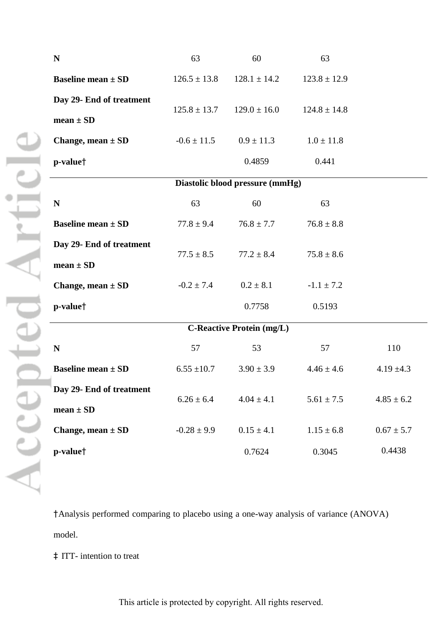| $\mathbf N$                              | 63               | 60                               | 63               |                |
|------------------------------------------|------------------|----------------------------------|------------------|----------------|
| <b>Baseline mean <math>\pm</math> SD</b> | $126.5 \pm 13.8$ | $128.1 \pm 14.2$                 | $123.8 \pm 12.9$ |                |
| Day 29- End of treatment                 | $125.8 \pm 13.7$ | $129.0 \pm 16.0$                 | $124.8 \pm 14.8$ |                |
| mean $\pm$ SD                            |                  |                                  |                  |                |
| Change, mean $\pm$ SD                    | $-0.6 \pm 11.5$  | $0.9 \pm 11.3$                   | $1.0 \pm 11.8$   |                |
| p-value <sup>†</sup>                     |                  | 0.4859                           | 0.441            |                |
|                                          |                  | Diastolic blood pressure (mmHg)  |                  |                |
| N                                        | 63               | 60                               | 63               |                |
| <b>Baseline mean <math>\pm</math> SD</b> | $77.8 \pm 9.4$   | $76.8 \pm 7.7$                   | $76.8 \pm 8.8$   |                |
| Day 29- End of treatment                 | $77.5 \pm 8.5$   | $77.2 \pm 8.4$                   | $75.8 \pm 8.6$   |                |
| $mean \pm SD$                            |                  |                                  |                  |                |
| Change, mean $\pm$ SD                    | $-0.2 \pm 7.4$   | $0.2 \pm 8.1$                    | $-1.1 \pm 7.2$   |                |
| p-value <sup>†</sup>                     |                  | 0.7758                           | 0.5193           |                |
|                                          |                  | <b>C-Reactive Protein (mg/L)</b> |                  |                |
| $\mathbf N$                              | 57               | 53                               | 57               | 110            |
| <b>Baseline mean <math>\pm</math> SD</b> | $6.55 \pm 10.7$  | $3.90 \pm 3.9$                   | $4.46 \pm 4.6$   | $4.19 \pm 4.3$ |
| Day 29- End of treatment                 | $6.26 \pm 6.4$   | $4.04 \pm 4.1$                   | $5.61 \pm 7.5$   | $4.85 \pm 6.2$ |
| $mean \pm SD$                            |                  |                                  |                  |                |
| Change, mean $\pm$ SD                    | $-0.28 \pm 9.9$  | $0.15 \pm 4.1$                   | $1.15 \pm 6.8$   | $0.67 \pm 5.7$ |
| p-value <sup>†</sup>                     |                  | 0.7624                           | 0.3045           | 0.4438         |

†Analysis performed comparing to placebo using a one-way analysis of variance (ANOVA) model.

‡ ITT- intention to treat